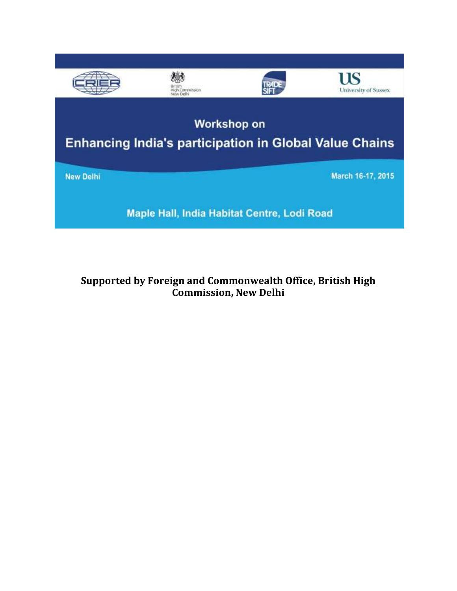

**Supported by Foreign and Commonwealth Office, British High Commission, New Delhi**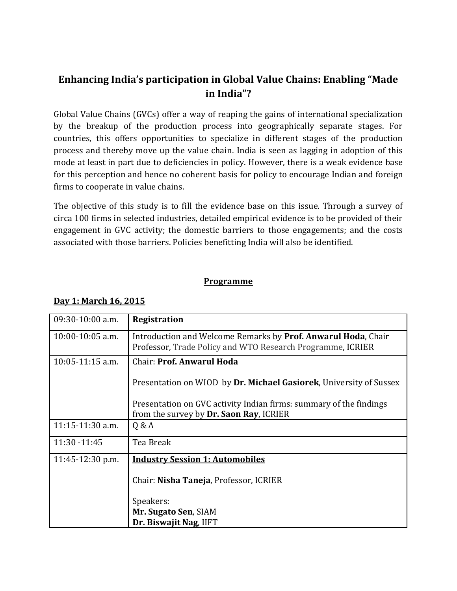## **Enhancing India's participation in Global Value Chains: Enabling "Made in India"?**

Global Value Chains (GVCs) offer a way of reaping the gains of international specialization by the breakup of the production process into geographically separate stages. For countries, this offers opportunities to specialize in different stages of the production process and thereby move up the value chain. India is seen as lagging in adoption of this mode at least in part due to deficiencies in policy. However, there is a weak evidence base for this perception and hence no coherent basis for policy to encourage Indian and foreign firms to cooperate in value chains.

The objective of this study is to fill the evidence base on this issue. Through a survey of circa 100 firms in selected industries, detailed empirical evidence is to be provided of their engagement in GVC activity; the domestic barriers to those engagements; and the costs associated with those barriers. Policies benefitting India will also be identified.

## **Programme**

| $09:30-10:00$ a.m. | <b>Registration</b>                                                                                                         |
|--------------------|-----------------------------------------------------------------------------------------------------------------------------|
| $10:00-10:05$ a.m. | Introduction and Welcome Remarks by Prof. Anwarul Hoda, Chair<br>Professor, Trade Policy and WTO Research Programme, ICRIER |
| $10:05-11:15$ a.m. | Chair: Prof. Anwarul Hoda                                                                                                   |
|                    | Presentation on WIOD by Dr. Michael Gasiorek, University of Sussex                                                          |
|                    | Presentation on GVC activity Indian firms: summary of the findings<br>from the survey by Dr. Saon Ray, ICRIER               |
| $11:15-11:30$ a.m. | Q & A                                                                                                                       |
| 11:30 -11:45       | Tea Break                                                                                                                   |
| 11:45-12:30 p.m.   | <b>Industry Session 1: Automobiles</b>                                                                                      |
|                    | Chair: Nisha Taneja, Professor, ICRIER                                                                                      |
|                    | Speakers:                                                                                                                   |
|                    | Mr. Sugato Sen, SIAM                                                                                                        |
|                    | Dr. Biswajit Nag, IIFT                                                                                                      |

## **Day 1: March 16, 2015**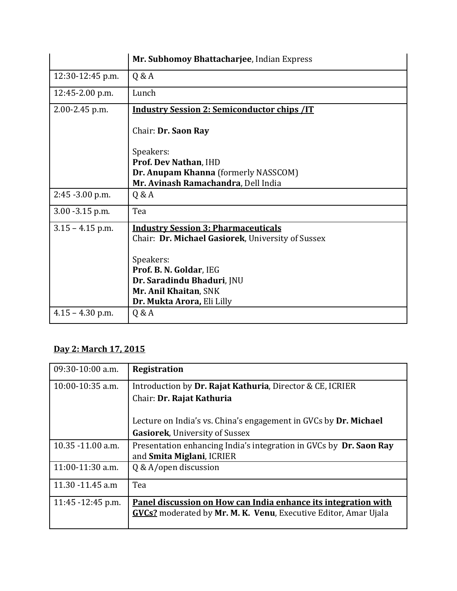|                     | Mr. Subhomoy Bhattacharjee, Indian Express         |
|---------------------|----------------------------------------------------|
| 12:30-12:45 p.m.    | Q & A                                              |
| $12:45 - 2.00$ p.m. | Lunch                                              |
| $2.00 - 2.45$ p.m.  | <b>Industry Session 2: Semiconductor chips /IT</b> |
|                     | Chair: Dr. Saon Ray                                |
|                     | Speakers:                                          |
|                     | Prof. Dev Nathan, IHD                              |
|                     | Dr. Anupam Khanna (formerly NASSCOM)               |
|                     | Mr. Avinash Ramachandra, Dell India                |
| $2:45 - 3.00$ p.m.  | Q & A                                              |
| $3.00 - 3.15$ p.m.  | Tea                                                |
| $3.15 - 4.15$ p.m.  | <b>Industry Session 3: Pharmaceuticals</b>         |
|                     | Chair: Dr. Michael Gasiorek, University of Sussex  |
|                     | Speakers:                                          |
|                     | Prof. B. N. Goldar, IEG                            |
|                     | Dr. Saradindu Bhaduri, JNU                         |
|                     | Mr. Anil Khaitan, SNK                              |
|                     | Dr. Mukta Arora, Eli Lilly                         |
| $4.15 - 4.30$ p.m.  | Q & A                                              |

## **Day 2: March 17, 2015**

| $09:30-10:00$ a.m. | <b>Registration</b>                                                    |
|--------------------|------------------------------------------------------------------------|
| $10:00-10:35$ a.m. | Introduction by Dr. Rajat Kathuria, Director & CE, ICRIER              |
|                    | Chair: Dr. Rajat Kathuria                                              |
|                    | Lecture on India's vs. China's engagement in GVCs by Dr. Michael       |
|                    | <b>Gasiorek, University of Sussex</b>                                  |
| 10.35 -11.00 a.m.  | Presentation enhancing India's integration in GVCs by Dr. Saon Ray     |
|                    | and <b>Smita Miglani</b> , ICRIER                                      |
| $11:00-11:30$ a.m. | Q & A/open discussion                                                  |
| 11.30 -11.45 a.m   | Tea                                                                    |
| 11:45 -12:45 p.m.  | Panel discussion on How can India enhance its integration with         |
|                    | <b>GVCs?</b> moderated by Mr. M. K. Venu, Executive Editor, Amar Ujala |